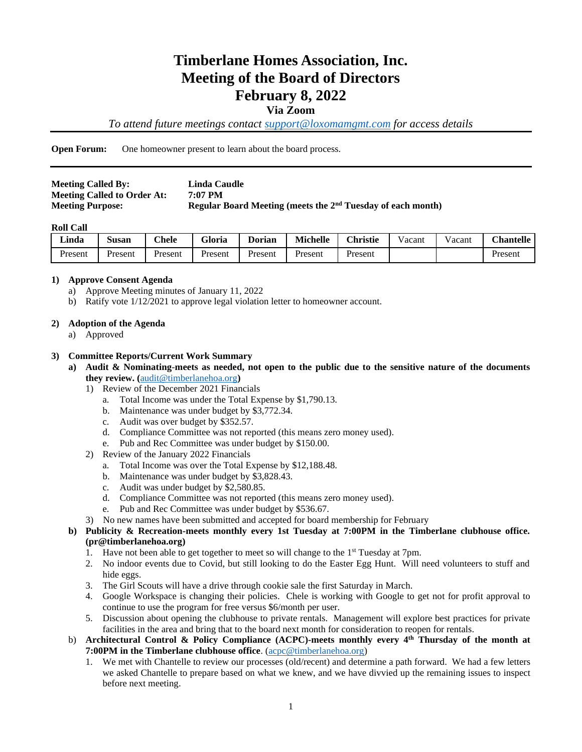# **Timberlane Homes Association, Inc. Meeting of the Board of Directors February 8, 2022**

#### **Via Zoom**

*To attend future meetings contact [support@loxomamgmt.com](mailto:support@loxomamgmt.com) for access details*

**Open Forum:** One homeowner present to learn about the board process.

| <b>Meeting Called By:</b>          | Linda Caudle                                                  |
|------------------------------------|---------------------------------------------------------------|
| <b>Meeting Called to Order At:</b> | 7:07 PM                                                       |
| <b>Meeting Purpose:</b>            | Regular Board Meeting (meets the $2nd$ Tuesday of each month) |

#### **Roll Call**

| <b>Linda</b> | $\sim$<br>Susan | <b>Chele</b> | <b>Gloria</b> | <b>Dorian</b> | <b>Michelle</b> | <b>Christie</b> | ∨acant | acant | <b>Chantelle</b> |
|--------------|-----------------|--------------|---------------|---------------|-----------------|-----------------|--------|-------|------------------|
| Present      | Present         | Present      | Present       | Present       | Present         | Present         |        |       | Present          |

#### **1) Approve Consent Agenda**

- a) Approve Meeting minutes of January 11, 2022
- b) Ratify vote 1/12/2021 to approve legal violation letter to homeowner account.

#### **2) Adoption of the Agenda**

a) Approved

#### **3) Committee Reports/Current Work Summary**

- **a) Audit & Nominating**-**meets as needed, not open to the public due to the sensitive nature of the documents they review. (**[audit@timberlanehoa.org](mailto:audit@timberlanehoa.org)**)** 
	- 1) Review of the December 2021 Financials
		- a. Total Income was under the Total Expense by \$1,790.13.
		- b. Maintenance was under budget by \$3,772.34.
		- c. Audit was over budget by \$352.57.
		- d. Compliance Committee was not reported (this means zero money used).
		- e. Pub and Rec Committee was under budget by \$150.00.
	- 2) Review of the January 2022 Financials
		- a. Total Income was over the Total Expense by \$12,188.48.
		- b. Maintenance was under budget by \$3,828.43.
		- c. Audit was under budget by \$2,580.85.
		- d. Compliance Committee was not reported (this means zero money used).
		- e. Pub and Rec Committee was under budget by \$536.67.
	- 3) No new names have been submitted and accepted for board membership for February

#### **b) Publicity & Recreation-meets monthly every 1st Tuesday at 7:00PM in the Timberlane clubhouse office. (pr@timberlanehoa.org)**

- 1. Have not been able to get together to meet so will change to the 1<sup>st</sup> Tuesday at 7pm.
- 2. No indoor events due to Covid, but still looking to do the Easter Egg Hunt. Will need volunteers to stuff and hide eggs.
- 3. The Girl Scouts will have a drive through cookie sale the first Saturday in March.
- 4. Google Workspace is changing their policies. Chele is working with Google to get not for profit approval to continue to use the program for free versus \$6/month per user.
- 5. Discussion about opening the clubhouse to private rentals. Management will explore best practices for private facilities in the area and bring that to the board next month for consideration to reopen for rentals.
- b) **Architectural Control & Policy Compliance (ACPC)-meets monthly every 4 th Thursday of the month at 7:00PM in the Timberlane clubhouse office**. [\(acpc@timberlanehoa.org\)](mailto:acpc@timberlanehoa.org)
	- 1. We met with Chantelle to review our processes (old/recent) and determine a path forward. We had a few letters we asked Chantelle to prepare based on what we knew, and we have divvied up the remaining issues to inspect before next meeting.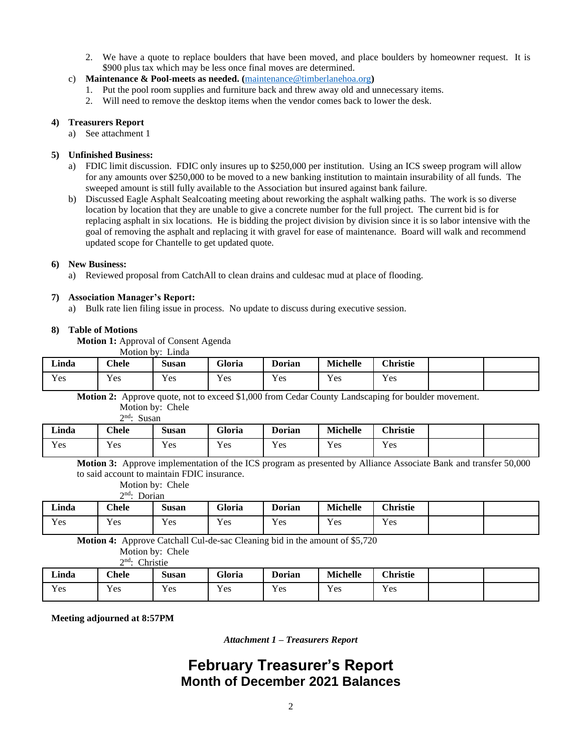- 2. We have a quote to replace boulders that have been moved, and place boulders by homeowner request. It is \$900 plus tax which may be less once final moves are determined.
- c) **Maintenance & Pool**-**meets as needed. (**[maintenance@timberlanehoa.org](mailto:maintenance@timberlanehoa.org)**)** 
	- 1. Put the pool room supplies and furniture back and threw away old and unnecessary items.
	- 2. Will need to remove the desktop items when the vendor comes back to lower the desk.

#### **4) Treasurers Report**

a) See attachment 1

#### **5) Unfinished Business:**

- a) FDIC limit discussion. FDIC only insures up to \$250,000 per institution. Using an ICS sweep program will allow for any amounts over \$250,000 to be moved to a new banking institution to maintain insurability of all funds. The sweeped amount is still fully available to the Association but insured against bank failure.
- b) Discussed Eagle Asphalt Sealcoating meeting about reworking the asphalt walking paths. The work is so diverse location by location that they are unable to give a concrete number for the full project. The current bid is for replacing asphalt in six locations. He is bidding the project division by division since it is so labor intensive with the goal of removing the asphalt and replacing it with gravel for ease of maintenance. Board will walk and recommend updated scope for Chantelle to get updated quote.

#### **6) New Business:**

a) Reviewed proposal from CatchAll to clean drains and culdesac mud at place of flooding.

#### **7) Association Manager's Report:**

a) Bulk rate lien filing issue in process. No update to discuss during executive session.

#### **8) Table of Motions**

**Motion 1:** Approval of Consent Agenda

Motion by: Linda

| Linda | <b>Chele</b>         | Susan                      | Gloria | $\blacksquare$<br>Dorian | <b>Michelle</b> | <b>Christie</b> |  |
|-------|----------------------|----------------------------|--------|--------------------------|-----------------|-----------------|--|
| Y es  | $\mathbf{v}$<br>Y es | $\mathbf{v}$<br><b>Yes</b> | Yes    | $\mathbf{v}$<br>Y es     | Y es            | Yes             |  |

**Motion 2:** Approve quote, not to exceed \$1,000 from Cedar County Landscaping for boulder movement.

|       | $\gamma$ nd.<br>Susan |       |        |               |                 |                 |  |
|-------|-----------------------|-------|--------|---------------|-----------------|-----------------|--|
| Linda | <b>Chele</b>          | Susan | Gloria | <b>Dorian</b> | <b>Michelle</b> | <b>Christie</b> |  |
| Yes   | Yes                   | Yes   | Yes    | Yes           | Yes             | Yes             |  |

**Motion 3:** Approve implementation of the ICS program as presented by Alliance Associate Bank and transfer 50,000 to said account to maintain FDIC insurance.

Motion by: Chele

|              | $\gamma$ nd. | Dorian       |        |               |                 |                 |  |
|--------------|--------------|--------------|--------|---------------|-----------------|-----------------|--|
| <b>Linda</b> | $C$ hele     | <b>Susan</b> | Gloria | <b>Dorian</b> | <b>Michelle</b> | <b>Christie</b> |  |
| Yes          | Yes          | Yes          | Yes    | Yes           | Yes             | Yes             |  |

**Motion 4:** Approve Catchall Cul-de-sac Cleaning bid in the amount of \$5,720

Motion by: Chele

| $2nd$ : Christie |
|------------------|
|                  |

| Linda | <b>Chele</b> | $\sim$<br>Susan | Gloria           | <b>Dorian</b>        | Michelle | <b>Christie</b> |  |
|-------|--------------|-----------------|------------------|----------------------|----------|-----------------|--|
| Yes   | $v_{es}$     | Yes             | <b>T</b><br>Y es | $\mathbf{v}$<br>Y es | Yes      | Yes             |  |

**Meeting adjourned at 8:57PM**

*Attachment 1 – Treasurers Report*

### **February Treasurer's Report Month of December 2021 Balances**